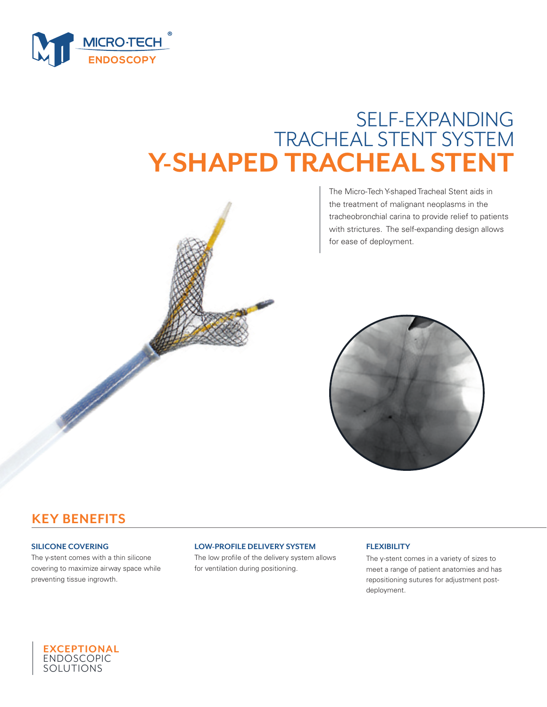

# SELF-EXPANDING TRACHEAL STENT SYSTEM **Y-SHAPED TRACHEAL STENT**

The Micro-Tech Y-shaped Tracheal Stent aids in the treatment of malignant neoplasms in the tracheobronchial carina to provide relief to patients with strictures. The self-expanding design allows for ease of deployment.



# **KEY BENEFITS**

#### **SILICONE COVERING**

The y-stent comes with a thin silicone covering to maximize airway space while preventing tissue ingrowth.

#### **LOW-PROFILE DELIVERY SYSTEM**

The low profile of the delivery system allows for ventilation during positioning.

#### **FLEXIBILITY**

The y-stent comes in a variety of sizes to meet a range of patient anatomies and has repositioning sutures for adjustment postdeployment.